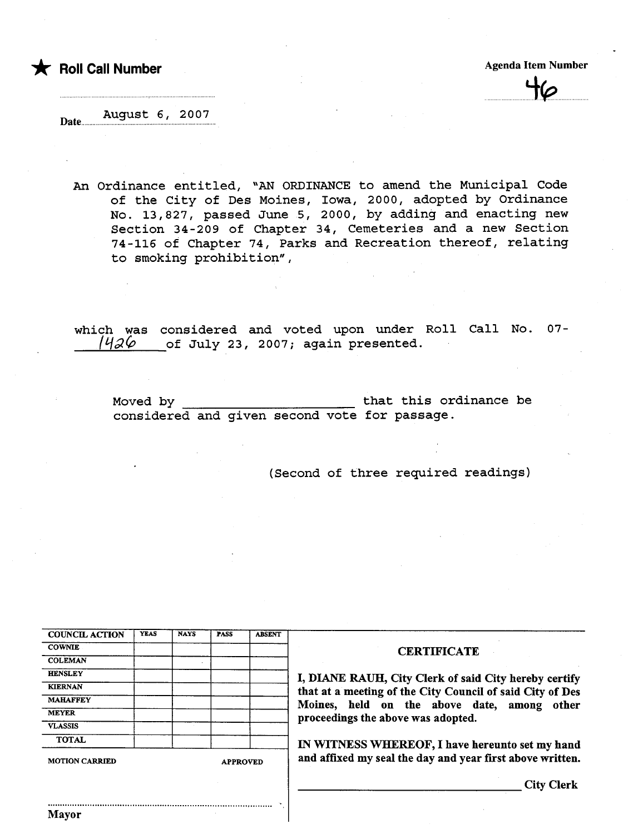t Roll Call Number Agenda Item Number Agenda Item Number

 $n$ 

Date..... August 6, 2007

An Ordinance entitled, "AN ORDINANCE to amend the Municipal Code of the City of Des Moines, Iowa, 2000, adopted by Ordinance No. 13,827, passed June 5, 2000, by adding and enacting new Section 34-209 of Chapter 34, Cemeteries and a new Section 74-116 of Chapter 74, Parks and Recreation thereof, relating to smoking prohibition",

which was considered and voted upon under Roll Call No. 07- 1426 of July 23, 2007; again presented.

Moved by that this ordinance be considered and given second vote for passage.

(Second of three required readings)

| <b>COUNCIL ACTION</b> | <b>YEAS</b> | <b>NAYS</b> | PASS            | <b>ABSENT</b> |  |  |
|-----------------------|-------------|-------------|-----------------|---------------|--|--|
| <b>COWNIE</b>         |             |             |                 |               |  |  |
| <b>COLEMAN</b>        |             |             |                 |               |  |  |
| <b>HENSLEY</b>        |             |             |                 |               |  |  |
| <b>KIERNAN</b>        |             |             |                 |               |  |  |
| <b>MAHAFFEY</b>       |             |             |                 |               |  |  |
| <b>MEYER</b>          |             |             |                 |               |  |  |
| <b>VLASSIS</b>        |             |             |                 |               |  |  |
| <b>TOTAL</b>          |             |             |                 |               |  |  |
| <b>MOTION CARRIED</b> |             |             | <b>APPROVED</b> |               |  |  |

............ ................................................... ......... ........ ~......... ,

#### **CERTIFICATE**

DIANE RAUH, City Clerk of said City hereby certify In that a meeting of the City Council of said City of Des<br>Dines, held on the above date, among other oceedings the above was adopted.

WITNESS WHEREOF, I have hereunto set my hand d affixed my seal the day and year first above written.

City Clerk

Mayor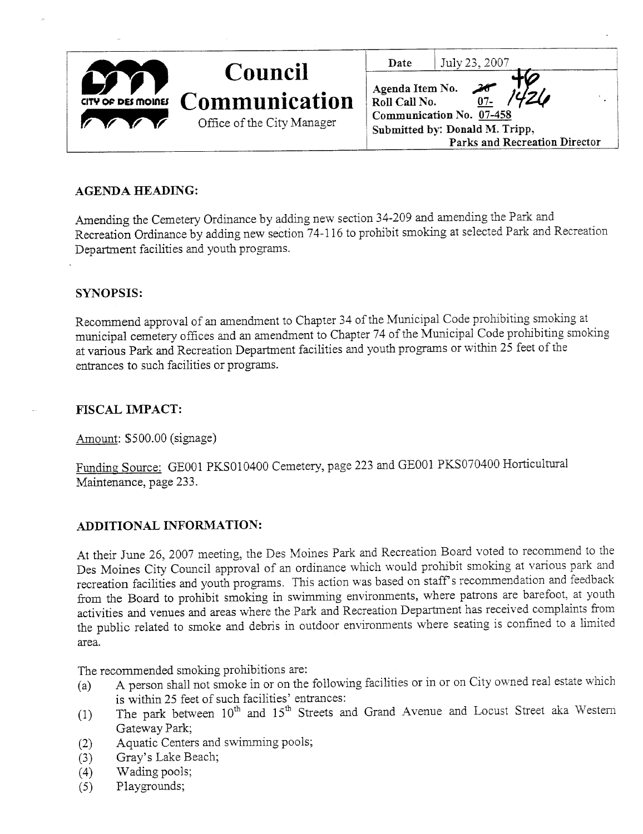| Council<br>GTY OF DES MOINES COMMUNICATION<br>Office of the City Manager | July 23, 2007<br>Date<br>Agenda Item No. 20<br>Roll Call No. 07-<br>Communication No. 07-458<br>Submitted by: Donald M. Tripp, |  |
|--------------------------------------------------------------------------|--------------------------------------------------------------------------------------------------------------------------------|--|
|                                                                          | Parks and Recreation Director                                                                                                  |  |

#### AGENDA HEADING:

Amending the Cemetery Ordinance by adding new section 34-209 and amending the Park and Recreation Ordinance by adding new section 74-116 to prohibit smokig at selected Park and Recreation Department facilities and youth programs.

#### SYNOPSIS:

Recommend approval of an amendment to Chapter 34 of the Muncipal Code prohibiting smoking at muncipal cemetery offices and an amendment to Chapter 74 of the Muncipal Code prohibiting smoking at various Park and Recreation Department facilities and youth programs or within 25 feet of the entrances to such facilities or programs.

#### FISCAL IMPACT:

Amount: \$500.00 (signage)

Funding Source: GE001 PKS010400 Cemetery, page 223 and GE001 PKS070400 Horticultural Maintenance, page 233.

### ADDITIONAL INFORMATION:

At their June 26, 2007 meeting, the Des Moines Park and Recreation Board voted to recommend to the Des Moines City Council approval of an ordinance which would prohibit smoking at various park and recreation facilities and youth programs. This action was based on staff's recommendation and feedback from the Board to prohibit smoking in swimming environments, where patrons are barefoot, at youth activities and venues and areas where the Park and Recreation Deparent has received complaints from the public related to smoke and debris in outdoor environments where seating is confined to a limited area.

The recommended smoking prohibitions are:

- (a) A person shall not smoke in or on the following facilities or in or on City owned real estate which is within 25 feet of such facilities' entrances:
- (1) The park between  $10^{\text{th}}$  and  $15^{\text{th}}$  Streets and Grand Avenue and Locust Street aka Western Gateway Park;
- (2) Aquatic Centers and swimming pools;
- (3) Gray's Lake Beach;<br>(4) Wading pools;
- (4) Wading pools;<br>(5) Playgrounds;
- Playgrounds;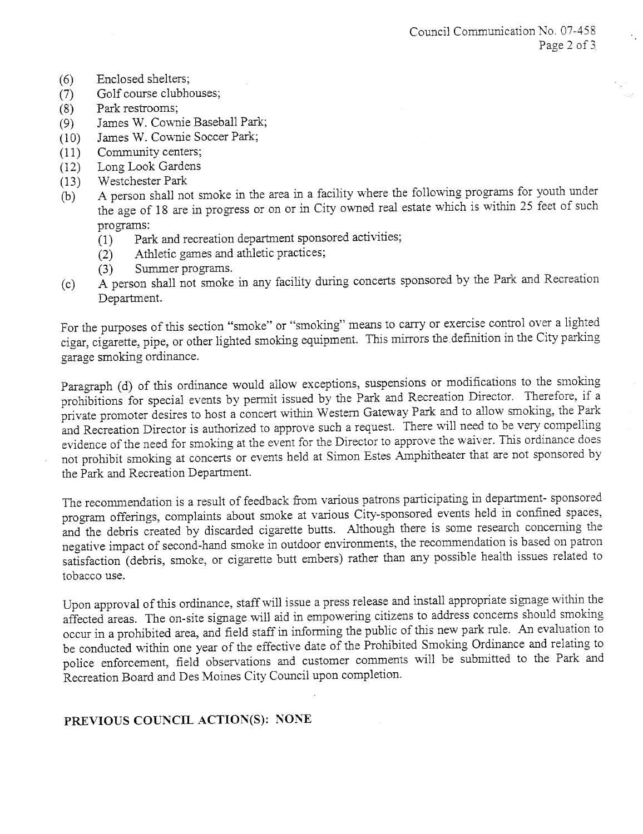- (6) Enclosed shelters;<br>(7) Golf course clubhe
- (7) Golf course clubhouses;<br>(8) Park restrooms;
- 
- (8) Park restrooms;<br>(9) James W. Cown (9) James W. Cownie Baseball Park;<br>(10) James W. Cownie Soccer Park;
- (10) James W. Cownie Soccer Park;<br>(11) Community centers;
- 
- (11) Community centers;<br>(12) Long Look Gardens
- (12) Long Look Gardens<br>(13) Westchester Park (13) Westchester Park
- (b) A person shall not smoke in the area in a facility where the following programs for youth under<br> $\ddot{C}$ the age of 18 are in progress or on or in City owned real estate which is within 25 feet of such programs:
	- (1) Park and recreation department sponsored activities;<br>(2) Athletic games and athletic practices;
	- Athletic games and athletic practices;<br>Summer programs.
	- $(3)$  Summer programs.
- $(c)$  A person shall not smoke in any facility during concerts sponsored by the Park and Recreation by the Park and Recreation  $\mathcal{L}$ Department.

For the purposes of this section "smoke" or "smoking" means to carry or exercise control over a lighted cigar, cigarette, pipe, or other lighted smokig equipment. This mirors the.definition in the City parking garage smoking ordinance.

Paragraph (d) of this ordinance would allow exceptions, suspensions or modifications to the smoking prohibitions for special events by pernut issued by the Park and Recreation Director. Therefore, if a private promoter desires to host a concert within Western Gateway Park and to allow smoking, the Park and Recreation Director is authorized to approve such a request. There will need to be very compelling evidence of the need for smoking at the event for the Director to approve the waiver. This ordinance does not prohibit smoking at concerts or events held at Simon Estes Amphitheater that are not sponsored by the Park and Recreation Department.

The recommendation is a result of feedback from various patrons participating in department- sponsored program offerings, complaints about smoke at various City-sponsored events held in confined spaces, and the debris created by discarded cigarette butts. Although there is some research concerning the negative impact of second-hand smoke in outdoor enviromnents, the recommendation is based on patron satisfaction (debris, smoke, or cigarette butt embers) rather than any possible health issues related to tobacco use.

Upon approval of this ordinance, staff will issue a press release and install appropriate signage within the affected areas. The on-site signage will aid in empowering citizens to address concerns should smoking occur in a prohibited area, and field staff in informing the public of this new park rule. An evaluation to be conducted within one year of the effective date of the Prohibited Smoking Ordinance and relating to police enforcement, field observations and customer comments will be submitted to the Park and Recreation Board and Des Moines City Council upon completion.

## PREVIOUS COUNCIL ACTION(S): NONE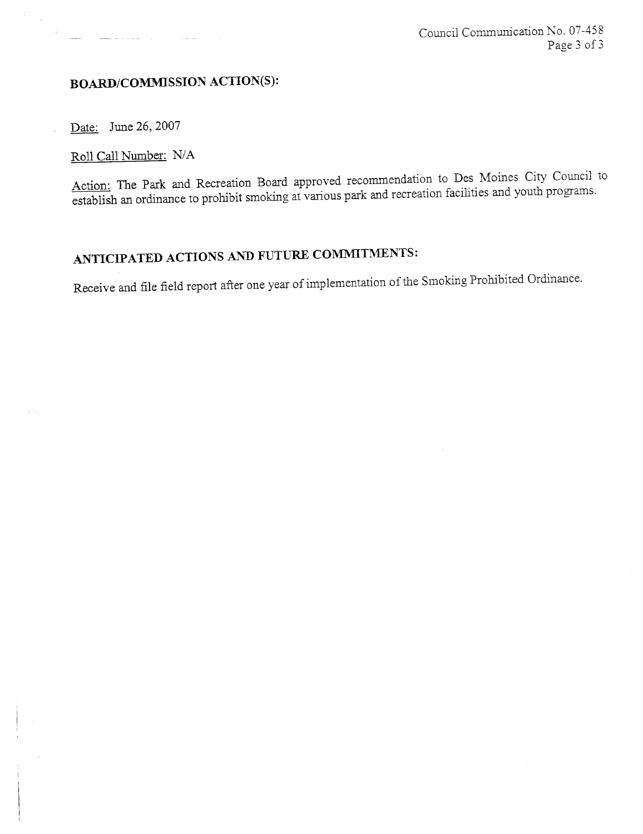## BOARD/COMMISSION ACTION(S):

and the companion of the companion of the companion of the companion of the companion of the companion of the companion of the companion of the companion of the companion of the companion of the companion of the companion

Date: June 26, 2007

цý.  $\sim$   $\sim$ 

Roll Call Number: N/A

Action: The Park and Recreation Board approved recommendation to Des Moines City Council to establish an ordinance to prohibit smoking at various park and recreation facilities and youth programs.

# ANTICIPATED ACTIONS AND FUTURE COMMITMENTS:

Receive and file field report after one year of implementation of the Smoking Prohibited Ordinance.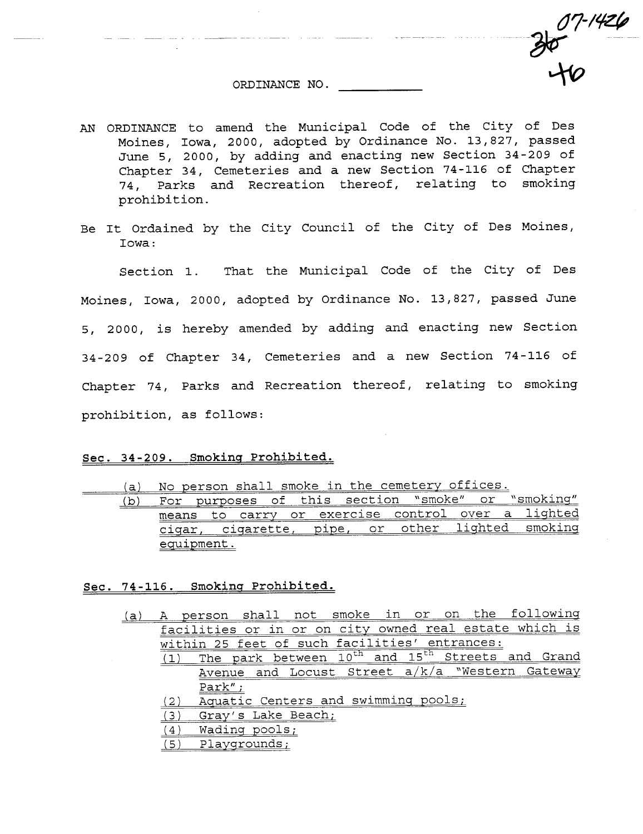ORDINANCE NO.

<u>a andré d'album de</u> l'est de la componi<mark>tion de la componi</mark>tion de la componition de la componition de la componi

 $07 - 1426$ 

 $rac{36}{10}$ 

- AN ORDINANCE to amend the Municipal Code of the City of Des Moines, Iowa, 2000, adopted by Ordinance No. 13,827, passed June 5, 2000, by adding and enacting new Section 34-209 of Chapter 34, Cemeteries and a new Section 74-116 of Chapter 74, Parks and Recreation thereof, relating to smoking prohibition.
- Be It Ordained by the City Council of the City of Des Moines, Iowa:

Section 1. That the Municipal Code of the City of Des Moines, Iowa, 2000, adopted by Ordinance No. 13,827, passed June 5, 2000, is hereby amended by adding and enacting new Section 34-209 of Chapter 34, Cemeteries and a new Section 74-116 of Chapter 74, Parks and Recreation thereof, relating to smoking prohibition, as follows:

#### Sec. 34-209. Smoking Prohibited.

(a) No person shall smoke in the cemetery offices.

| $\mathbf{b}$ | ロヘー            |  |  | $\cap$ $\uparrow$ | $+hie$ | section  |       | "smoke"   |      | $\cap$ $\sim$ | $N$ cmoking"<br>------- |
|--------------|----------------|--|--|-------------------|--------|----------|-------|-----------|------|---------------|-------------------------|
|              | means          |  |  |                   |        | exercise |       | -cont.rol | over | a             | 1 in the A              |
|              | igarette<br>C1 |  |  | pipe              |        | or       | other | hetdoil   |      |               |                         |
|              |                |  |  |                   |        |          |       |           |      |               |                         |

#### See. 74-116. Smokinq Prohibited.

- (a) A person shall not smoke in or on the followinq facilities or in or on city owned real estate which is within 25 feet of such facilities' entrances:
	- (1) The park between  $10^{\text{th}}$  and  $15^{\text{th}}$  Streets and Grand Avenue and Locust Street a/k/a "Western Gateway Park" ;
	- (2) Aquatic Centers and swimminq pools;
	- (3) Gray's Lake Beach;
	- (4) Wading pools;<br>(5) Playgrounds;
	- (5) Playgrounds;